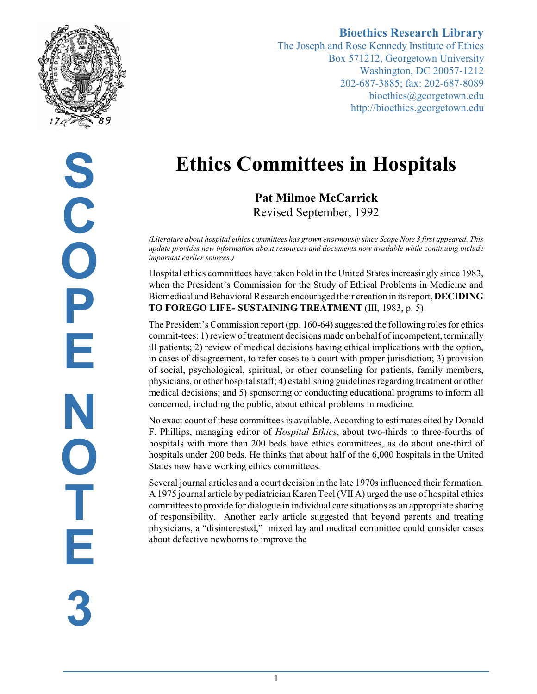

**Bioethics Research Library** The Joseph and Rose Kennedy Institute of Ethics Box 571212, Georgetown University Washington, DC 20057-1212 202-687-3885; fax: 202-687-8089 bioethics@georgetown.edu http://bioethics.georgetown.edu

# **Ethics Committees in Hospitals**

**Pat Milmoe McCarrick** Revised September, 1992

*(Literature about hospital ethics committees has grown enormously since Scope Note 3 first appeared. This update provides new information about resources and documents now available while continuing include important earlier sources.)*

Hospital ethics committees have taken hold in the United States increasingly since 1983, when the President's Commission for the Study of Ethical Problems in Medicine and Biomedical and Behavioral Research encouraged their creation in its report, **DECIDING TO FOREGO LIFE- SUSTAINING TREATMENT** (III, 1983, p. 5).

The President's Commission report (pp. 160-64) suggested the following roles for ethics commit-tees: 1) review of treatment decisions made on behalf of incompetent, terminally ill patients; 2) review of medical decisions having ethical implications with the option, in cases of disagreement, to refer cases to a court with proper jurisdiction; 3) provision of social, psychological, spiritual, or other counseling for patients, family members, physicians, or other hospital staff; 4) establishing guidelines regarding treatment or other medical decisions; and 5) sponsoring or conducting educational programs to inform all concerned, including the public, about ethical problems in medicine.

No exact count of these committees is available. According to estimates cited by Donald F. Phillips, managing editor of *Hospital Ethics*, about two-thirds to three-fourths of hospitals with more than 200 beds have ethics committees, as do about one-third of hospitals under 200 beds. He thinks that about half of the 6,000 hospitals in the United States now have working ethics committees.

Several journal articles and a court decision in the late 1970s influenced their formation. A 1975 journal article by pediatrician Karen Teel (VII A) urged the use of hospital ethics committees to provide for dialogue in individual care situations as an appropriate sharing of responsibility. Another early article suggested that beyond parents and treating physicians, a "disinterested," mixed lay and medical committee could consider cases about defective newborns to improve the

**S C O P E N O T E 3**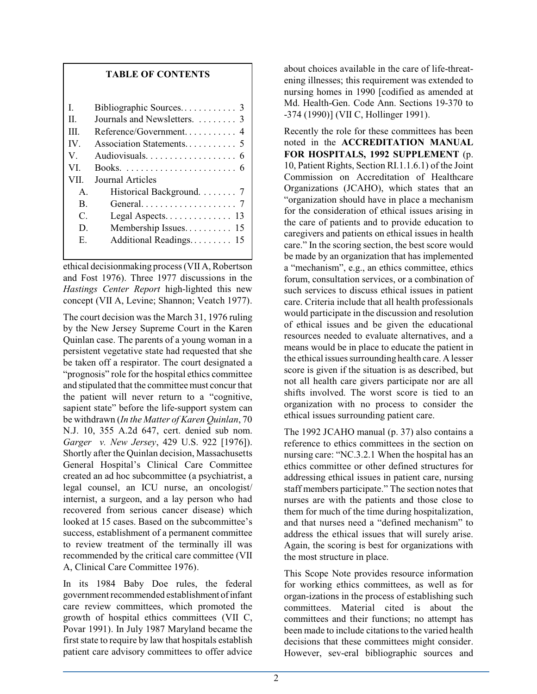#### **TABLE OF CONTENTS**

| L               |                                          |
|-----------------|------------------------------------------|
| Π.              | Journals and Newsletters.  3             |
| Ш               | Reference/Government 4                   |
| IV.             |                                          |
| V.              |                                          |
| VI.             |                                          |
| VII.            | Journal Articles                         |
| $\mathsf{A}$    | Historical Background. $\ldots \ldots$ 7 |
| B.              |                                          |
| $\mathcal{C}$ . |                                          |
| D.              | Membership Issues 15                     |
| Е.              | Additional Readings 15                   |
|                 |                                          |

ethical decisionmaking process (VII A, Robertson and Fost 1976). Three 1977 discussions in the *Hastings Center Report* high-lighted this new concept (VII A, Levine; Shannon; Veatch 1977).

The court decision was the March 31, 1976 ruling by the New Jersey Supreme Court in the Karen Quinlan case. The parents of a young woman in a persistent vegetative state had requested that she be taken off a respirator. The court designated a "prognosis" role for the hospital ethics committee and stipulated that the committee must concur that the patient will never return to a "cognitive, sapient state" before the life-support system can be withdrawn (*In the Matter of Karen Quinlan*, 70 N.J. 10, 355 A.2d 647, cert. denied sub nom. *Garger v. New Jersey*, 429 U.S. 922 [1976]). Shortly after the Quinlan decision, Massachusetts General Hospital's Clinical Care Committee created an ad hoc subcommittee (a psychiatrist, a legal counsel, an ICU nurse, an oncologist/ internist, a surgeon, and a lay person who had recovered from serious cancer disease) which looked at 15 cases. Based on the subcommittee's success, establishment of a permanent committee to review treatment of the terminally ill was recommended by the critical care committee (VII A, Clinical Care Committee 1976).

In its 1984 Baby Doe rules, the federal government recommended establishment of infant care review committees, which promoted the growth of hospital ethics committees (VII C, Povar 1991). In July 1987 Maryland became the first state to require by law that hospitals establish patient care advisory committees to offer advice about choices available in the care of life-threatening illnesses; this requirement was extended to nursing homes in 1990 [codified as amended at Md. Health-Gen. Code Ann. Sections 19-370 to -374 (1990)] (VII C, Hollinger 1991).

Recently the role for these committees has been noted in the **ACCREDITATION MANUAL FOR HOSPITALS, 1992 SUPPLEMENT** (p. 10, Patient Rights, Section RI.1.1.6.1) of the Joint Commission on Accreditation of Healthcare Organizations (JCAHO), which states that an "organization should have in place a mechanism for the consideration of ethical issues arising in the care of patients and to provide education to caregivers and patients on ethical issues in health care." In the scoring section, the best score would be made by an organization that has implemented a "mechanism", e.g., an ethics committee, ethics forum, consultation services, or a combination of such services to discuss ethical issues in patient care. Criteria include that all health professionals would participate in the discussion and resolution of ethical issues and be given the educational resources needed to evaluate alternatives, and a means would be in place to educate the patient in the ethical issues surrounding health care. A lesser score is given if the situation is as described, but not all health care givers participate nor are all shifts involved. The worst score is tied to an organization with no process to consider the ethical issues surrounding patient care.

The 1992 JCAHO manual (p. 37) also contains a reference to ethics committees in the section on nursing care: "NC.3.2.1 When the hospital has an ethics committee or other defined structures for addressing ethical issues in patient care, nursing staff members participate." The section notes that nurses are with the patients and those close to them for much of the time during hospitalization, and that nurses need a "defined mechanism" to address the ethical issues that will surely arise. Again, the scoring is best for organizations with the most structure in place.

This Scope Note provides resource information for working ethics committees, as well as for organ-izations in the process of establishing such committees. Material cited is about the committees and their functions; no attempt has been made to include citations to the varied health decisions that these committees might consider. However, sev-eral bibliographic sources and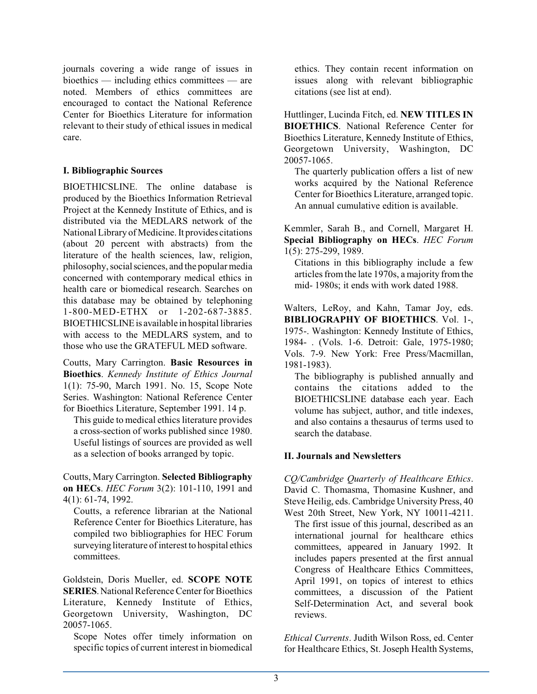journals covering a wide range of issues in bioethics — including ethics committees — are noted. Members of ethics committees are encouraged to contact the National Reference Center for Bioethics Literature for information relevant to their study of ethical issues in medical care.

#### **I. Bibliographic Sources**

BIOETHICSLINE. The online database is produced by the Bioethics Information Retrieval Project at the Kennedy Institute of Ethics, and is distributed via the MEDLARS network of the National Library of Medicine. It provides citations (about 20 percent with abstracts) from the literature of the health sciences, law, religion, philosophy, social sciences, and the popular media concerned with contemporary medical ethics in health care or biomedical research. Searches on this database may be obtained by telephoning 1-800-MED-ETHX or 1-202-687-3885. BIOETHICSLINEis available in hospital libraries with access to the MEDLARS system, and to those who use the GRATEFUL MED software.

Coutts, Mary Carrington. **Basic Resources in Bioethics**. *Kennedy Institute of Ethics Journal* 1(1): 75-90, March 1991. No. 15, Scope Note Series. Washington: National Reference Center for Bioethics Literature, September 1991. 14 p.

This guide to medical ethics literature provides a cross-section of works published since 1980. Useful listings of sources are provided as well as a selection of books arranged by topic.

Coutts, Mary Carrington. **Selected Bibliography on HECs**. *HEC Forum* 3(2): 101-110, 1991 and 4(1): 61-74, 1992.

Coutts, a reference librarian at the National Reference Center for Bioethics Literature, has compiled two bibliographies for HEC Forum surveying literature of interest to hospital ethics committees.

Goldstein, Doris Mueller, ed. **SCOPE NOTE SERIES**. National Reference Center for Bioethics Literature, Kennedy Institute of Ethics, Georgetown University, Washington, DC 20057-1065.

Scope Notes offer timely information on specific topics of current interest in biomedical ethics. They contain recent information on issues along with relevant bibliographic citations (see list at end).

Huttlinger, Lucinda Fitch, ed. **NEW TITLES IN BIOETHICS**. National Reference Center for Bioethics Literature, Kennedy Institute of Ethics, Georgetown University, Washington, DC 20057-1065.

The quarterly publication offers a list of new works acquired by the National Reference Center for Bioethics Literature, arranged topic. An annual cumulative edition is available.

Kemmler, Sarah B., and Cornell, Margaret H. **Special Bibliography on HECs**. *HEC Forum* 1(5): 275-299, 1989.

Citations in this bibliography include a few articles fromthe late 1970s, a majority fromthe mid- 1980s; it ends with work dated 1988.

Walters, LeRoy, and Kahn, Tamar Joy, eds. **BIBLIOGRAPHY OF BIOETHICS**. Vol. 1-, 1975-. Washington: Kennedy Institute of Ethics, 1984- . (Vols. 1-6. Detroit: Gale, 1975-1980; Vols. 7-9. New York: Free Press/Macmillan, 1981-1983).

The bibliography is published annually and contains the citations added to the BIOETHICSLINE database each year. Each volume has subject, author, and title indexes, and also contains a thesaurus of terms used to search the database.

#### **II. Journals and Newsletters**

*CQ/Cambridge Quarterly of Healthcare Ethics*. David C. Thomasma, Thomasine Kushner, and Steve Heilig, eds. Cambridge University Press, 40 West 20th Street, New York, NY 10011-4211.

The first issue of this journal, described as an international journal for healthcare ethics committees, appeared in January 1992. It includes papers presented at the first annual Congress of Healthcare Ethics Committees, April 1991, on topics of interest to ethics committees, a discussion of the Patient Self-Determination Act, and several book reviews.

*Ethical Currents*. Judith Wilson Ross, ed. Center for Healthcare Ethics, St. Joseph Health Systems,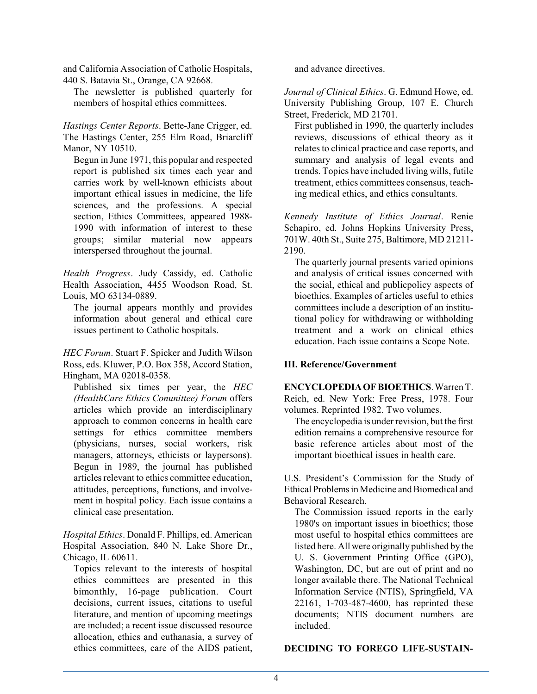and California Association of Catholic Hospitals, 440 S. Batavia St., Orange, CA 92668.

The newsletter is published quarterly for members of hospital ethics committees.

*Hastings Center Reports*. Bette-Jane Crigger, ed. The Hastings Center, 255 Elm Road, Briarcliff Manor, NY 10510.

Begun in June 1971, this popular and respected report is published six times each year and carries work by well-known ethicists about important ethical issues in medicine, the life sciences, and the professions. A special section, Ethics Committees, appeared 1988- 1990 with information of interest to these groups; similar material now appears interspersed throughout the journal.

*Health Progress*. Judy Cassidy, ed. Catholic Health Association, 4455 Woodson Road, St. Louis, MO 63134-0889.

The journal appears monthly and provides information about general and ethical care issues pertinent to Catholic hospitals.

*HEC Forum*. Stuart F. Spicker and Judith Wilson Ross, eds. Kluwer, P.O. Box 358, Accord Station, Hingham, MA 02018-0358.

Published six times per year, the *HEC (HealthCare Ethics Conunittee) Forum* offers articles which provide an interdisciplinary approach to common concerns in health care settings for ethics committee members (physicians, nurses, social workers, risk managers, attorneys, ethicists or laypersons). Begun in 1989, the journal has published articles relevant to ethics committee education, attitudes, perceptions, functions, and involvement in hospital policy. Each issue contains a clinical case presentation.

*Hospital Ethics*. Donald F. Phillips, ed. American Hospital Association, 840 N. Lake Shore Dr., Chicago, IL 60611.

Topics relevant to the interests of hospital ethics committees are presented in this bimonthly, 16-page publication. Court decisions, current issues, citations to useful literature, and mention of upcoming meetings are included; a recent issue discussed resource allocation, ethics and euthanasia, a survey of ethics committees, care of the AIDS patient,

and advance directives.

*Journal of Clinical Ethics*. G. Edmund Howe, ed. University Publishing Group, 107 E. Church Street, Frederick, MD 21701.

First published in 1990, the quarterly includes reviews, discussions of ethical theory as it relates to clinical practice and case reports, and summary and analysis of legal events and trends. Topics have included living wills, futile treatment, ethics committees consensus, teaching medical ethics, and ethics consultants.

*Kennedy Institute of Ethics Journal*. Renie Schapiro, ed. Johns Hopkins University Press, 701W. 40th St., Suite 275, Baltimore, MD 21211- 2190.

The quarterly journal presents varied opinions and analysis of critical issues concerned with the social, ethical and publicpolicy aspects of bioethics. Examples of articles useful to ethics committees include a description of an institutional policy for withdrawing or withholding treatment and a work on clinical ethics education. Each issue contains a Scope Note.

#### **III. Reference/Government**

**ENCYCLOPEDIAOF BIOETHICS**.Warren T. Reich, ed. New York: Free Press, 1978. Four volumes. Reprinted 1982. Two volumes.

The encyclopedia is under revision, but the first edition remains a comprehensive resource for basic reference articles about most of the important bioethical issues in health care.

U.S. President's Commission for the Study of Ethical Problems in Medicine and Biomedical and Behavioral Research.

The Commission issued reports in the early 1980's on important issues in bioethics; those most useful to hospital ethics committees are listed here. All were originally published by the U. S. Government Printing Office (GPO), Washington, DC, but are out of print and no longer available there. The National Technical Information Service (NTIS), Springfield, VA 22161, 1-703-487-4600, has reprinted these documents; NTIS document numbers are included.

#### **DECIDING TO FOREGO LIFE-SUSTAIN-**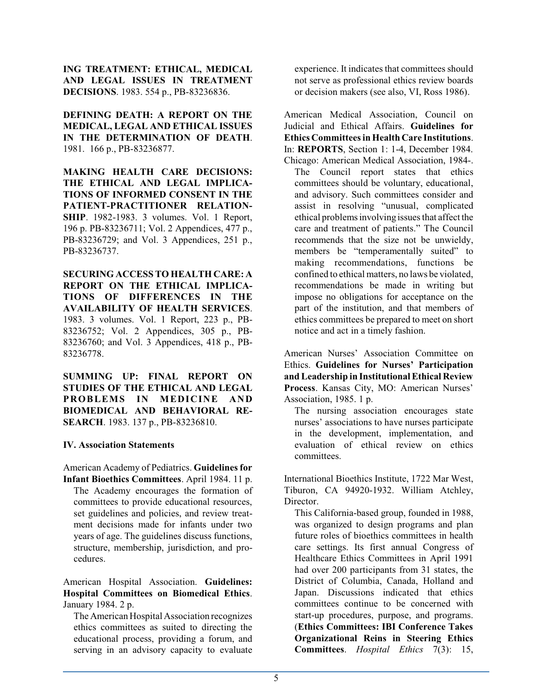**ING TREATMENT: ETHICAL, MEDICAL AND LEGAL ISSUES IN TREATMENT DECISIONS**. 1983. 554 p., PB-83236836.

**DEFINING DEATH: A REPORT ON THE MEDICAL, LEGAL AND ETHICAL ISSUES IN THE DETERMINATION OF DEATH**. 1981. 166 p., PB-83236877.

**MAKING HEALTH CARE DECISIONS: THE ETHICAL AND LEGAL IMPLICA-TIONS OF INFORMED CONSENT IN THE PATIENT-PRACTITIONER RELATION-SHIP**. 1982-1983. 3 volumes. Vol. 1 Report, 196 p. PB-83236711; Vol. 2 Appendices, 477 p., PB-83236729; and Vol. 3 Appendices, 251 p., PB-83236737.

**SECURING ACCESS TO HEALTH CARE: A REPORT ON THE ETHICAL IMPLICA-TIONS OF DIFFERENCES IN THE AVAILABILITY OF HEALTH SERVICES**. 1983. 3 volumes. Vol. 1 Report, 223 p., PB-83236752; Vol. 2 Appendices, 305 p., PB-83236760; and Vol. 3 Appendices, 418 p., PB-83236778.

**SUMMING UP: FINAL REPORT ON STUDIES OF THE ETHICAL AND LEGAL PROBLEMS IN MEDICINE AND BIOMEDICAL AND BEHAVIORAL RE-SEARCH**. 1983. 137 p., PB-83236810.

#### **IV. Association Statements**

American Academy of Pediatrics. **Guidelines for Infant Bioethics Committees**. April 1984. 11 p.

The Academy encourages the formation of committees to provide educational resources, set guidelines and policies, and review treatment decisions made for infants under two years of age. The guidelines discuss functions, structure, membership, jurisdiction, and procedures.

American Hospital Association. **Guidelines: Hospital Committees on Biomedical Ethics**. January 1984. 2 p.

The American Hospital Association recognizes ethics committees as suited to directing the educational process, providing a forum, and serving in an advisory capacity to evaluate experience. It indicates that committees should not serve as professional ethics review boards or decision makers (see also, VI, Ross 1986).

American Medical Association, Council on Judicial and Ethical Affairs. **Guidelines for Ethics Committees in Health Care Institutions**. In: **REPORTS**, Section 1: 1-4, December 1984.

Chicago: American Medical Association, 1984-. The Council report states that ethics committees should be voluntary, educational, and advisory. Such committees consider and assist in resolving "unusual, complicated ethical problems involving issues that affect the care and treatment of patients." The Council recommends that the size not be unwieldy, members be "temperamentally suited" to making recommendations, functions be confined to ethical matters, no laws be violated, recommendations be made in writing but impose no obligations for acceptance on the part of the institution, and that members of ethics committees be prepared to meet on short notice and act in a timely fashion.

American Nurses' Association Committee on Ethics. **Guidelines for Nurses' Participation and Leadership in InstitutionalEthical Review Process**. Kansas City, MO: American Nurses' Association, 1985. 1 p.

The nursing association encourages state nurses' associations to have nurses participate in the development, implementation, and evaluation of ethical review on ethics committees.

International Bioethics Institute, 1722 Mar West, Tiburon, CA 94920-1932. William Atchley, Director.

This California-based group, founded in 1988, was organized to design programs and plan future roles of bioethics committees in health care settings. Its first annual Congress of Healthcare Ethics Committees in April 1991 had over 200 participants from 31 states, the District of Columbia, Canada, Holland and Japan. Discussions indicated that ethics committees continue to be concerned with start-up procedures, purpose, and programs. (**Ethics Committees: IBI Conference Takes Organizational Reins in Steering Ethics Committees**. *Hospital Ethics* 7(3): 15,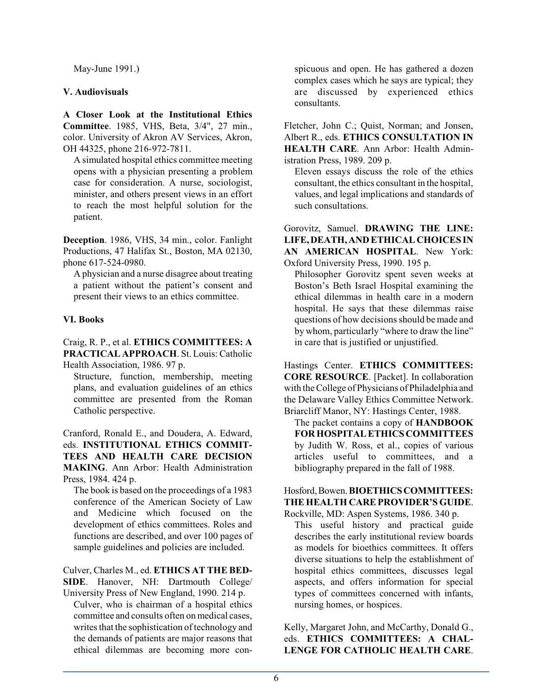May-June 1991.)

#### **V. Audiovisuals**

**A Closer Look at the Institutional Ethics Committee**. 1985, VHS, Beta, 3/4", 27 min., color. University of Akron AV Services, Akron, OH 44325, phone 216-972-7811.

A simulated hospital ethics committee meeting opens with a physician presenting a problem case for consideration. A nurse, sociologist, minister, and others present views in an effort to reach the most helpful solution for the patient.

**Deception**. 1986, VHS, 34 min., color. Fanlight Productions, 47 Halifax St., Boston, MA 02130, phone 617-524-0980.

A physician and a nurse disagree about treating a patient without the patient's consent and present their views to an ethics committee.

#### **VI. Books**

Craig, R. P., et al. **ETHICS COMMITTEES: A PRACTICAL APPROACH**. St. Louis: Catholic Health Association, 1986. 97 p.

Structure, function, membership, meeting plans, and evaluation guidelines of an ethics committee are presented from the Roman Catholic perspective.

Cranford, Ronald E., and Doudera, A. Edward, eds. **INSTITUTIONAL ETHICS COMMIT-TEES AND HEALTH CARE DECISION MAKING**. Ann Arbor: Health Administration Press, 1984. 424 p.

The book is based on the proceedings of a 1983 conference of the American Society of Law and Medicine which focused on the development of ethics committees. Roles and functions are described, and over 100 pages of sample guidelines and policies are included.

Culver, Charles M., ed. **ETHICS AT THE BED-SIDE**. Hanover, NH: Dartmouth College/ University Press of New England, 1990. 214 p.

Culver, who is chairman of a hospital ethics committee and consults often on medical cases, writes that the sophistication of technology and the demands of patients are major reasons that ethical dilemmas are becoming more conspicuous and open. He has gathered a dozen complex cases which he says are typical; they are discussed by experienced ethics consultants.

Fletcher, John C.; Quist, Norman; and Jonsen, Albert R., eds. **ETHICS CONSULTATION IN HEALTH CARE**. Ann Arbor: Health Administration Press, 1989. 209 p.

Eleven essays discuss the role of the ethics consultant, the ethics consultant in the hospital, values, and legal implications and standards of such consultations.

Gorovitz, Samuel. **DRAWING THE LINE: LIFE, DEATH, AND ETHICAL CHOICES IN AN AMERICAN HOSPITAL**. New York: Oxford University Press, 1990. 195 p.

Philosopher Gorovitz spent seven weeks at Boston's Beth Israel Hospital examining the ethical dilemmas in health care in a modern hospital. He says that these dilemmas raise questions of how decisions should be made and by whom, particularly "where to draw the line" in care that is justified or unjustified.

Hastings Center. **ETHICS COMMITTEES: CORE RESOURCE**. [Packet]. In collaboration with the College of Physicians of Philadelphia and the Delaware Valley Ethics Committee Network. Briarcliff Manor, NY: Hastings Center, 1988.

The packet contains a copy of **HANDBOOK FOR HOSPITAL ETHICS COMMITTEES** by Judith W. Ross, et al., copies of various articles useful to committees, and a bibliography prepared in the fall of 1988.

#### Hosford,Bowen.**BIOETHICSCOMMITTEES: THE HEALTH CARE PROVIDER'S GUIDE**.

Rockville, MD: Aspen Systems, 1986. 340 p. This useful history and practical guide describes the early institutional review boards as models for bioethics committees. It offers diverse situations to help the establishment of hospital ethics committees, discusses legal aspects, and offers information for special types of committees concerned with infants, nursing homes, or hospices.

Kelly, Margaret John, and McCarthy, Donald G., eds. **ETHICS COMMITTEES: A CHAL-LENGE FOR CATHOLIC HEALTH CARE**.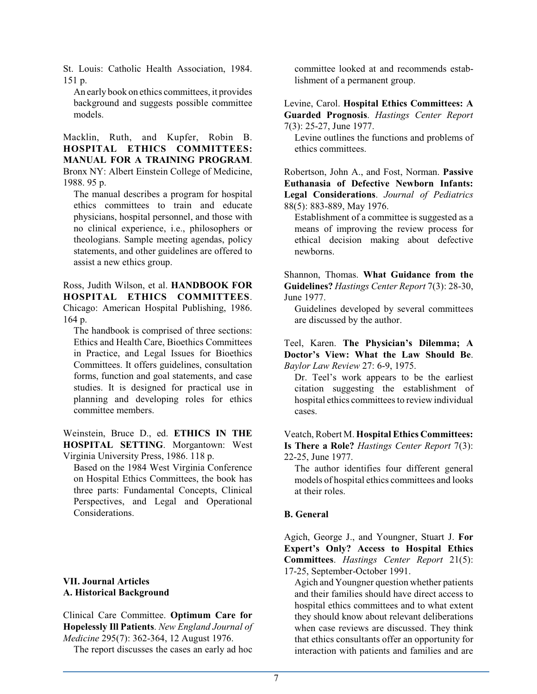St. Louis: Catholic Health Association, 1984. 151 p.

An early book on ethics committees, it provides background and suggests possible committee models.

Macklin, Ruth, and Kupfer, Robin B. **HOSPITAL ETHICS COMMITTEES: MANUAL FOR A TRAINING PROGRAM**. Bronx NY: Albert Einstein College of Medicine, 1988. 95 p.

The manual describes a program for hospital ethics committees to train and educate physicians, hospital personnel, and those with no clinical experience, i.e., philosophers or theologians. Sample meeting agendas, policy statements, and other guidelines are offered to assist a new ethics group.

Ross, Judith Wilson, et al. **HANDBOOK FOR HOSPITAL ETHICS COMMITTEES**. Chicago: American Hospital Publishing, 1986. 164 p.

The handbook is comprised of three sections: Ethics and Health Care, Bioethics Committees in Practice, and Legal Issues for Bioethics Committees. It offers guidelines, consultation forms, function and goal statements, and case studies. It is designed for practical use in planning and developing roles for ethics committee members.

Weinstein, Bruce D., ed. **ETHICS IN THE HOSPITAL SETTING**. Morgantown: West Virginia University Press, 1986. 118 p.

Based on the 1984 West Virginia Conference on Hospital Ethics Committees, the book has three parts: Fundamental Concepts, Clinical Perspectives, and Legal and Operational Considerations.

#### **VII. Journal Articles A. Historical Background**

Clinical Care Committee. **Optimum Care for Hopelessly Ill Patients**. *New England Journal of Medicine* 295(7): 362-364, 12 August 1976.

The report discusses the cases an early ad hoc

committee looked at and recommends establishment of a permanent group.

Levine, Carol. **Hospital Ethics Committees: A Guarded Prognosis**. *Hastings Center Report* 7(3): 25-27, June 1977.

Levine outlines the functions and problems of ethics committees.

Robertson, John A., and Fost, Norman. **Passive Euthanasia of Defective Newborn Infants: Legal Considerations**. *Journal of Pediatrics* 88(5): 883-889, May 1976.

Establishment of a committee is suggested as a means of improving the review process for ethical decision making about defective newborns.

Shannon, Thomas. **What Guidance from the Guidelines?** *Hastings Center Report* 7(3): 28-30, June 1977.

Guidelines developed by several committees are discussed by the author.

Teel, Karen. **The Physician's Dilemma; A Doctor's View: What the Law Should Be**. *Baylor Law Review* 27: 6-9, 1975.

Dr. Teel's work appears to be the earliest citation suggesting the establishment of hospital ethics committees to review individual cases.

Veatch, Robert M. **Hospital Ethics Committees: Is There a Role?** *Hastings Center Report* 7(3): 22-25, June 1977.

The author identifies four different general models of hospital ethics committees and looks at their roles.

#### **B. General**

Agich, George J., and Youngner, Stuart J. **For Expert's Only? Access to Hospital Ethics Committees**. *Hastings Center Report* 21(5): 17-25, September-October 1991.

Agich and Youngner question whether patients and their families should have direct access to hospital ethics committees and to what extent they should know about relevant deliberations when case reviews are discussed. They think that ethics consultants offer an opportunity for interaction with patients and families and are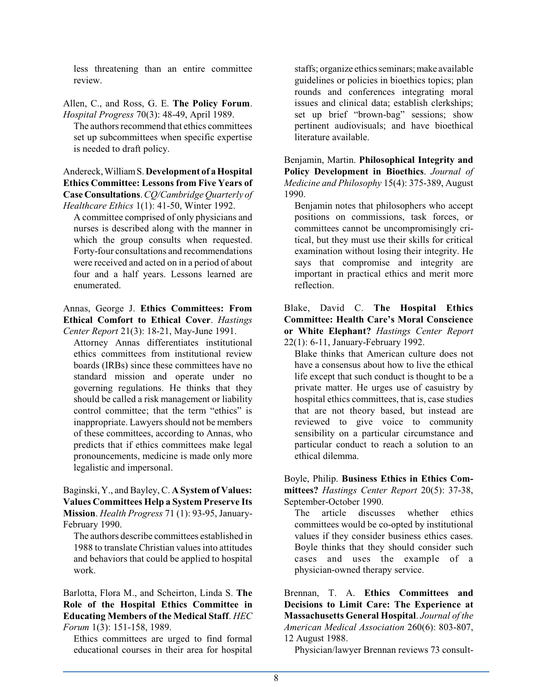less threatening than an entire committee review.

Allen, C., and Ross, G. E. **The Policy Forum**. *Hospital Progress* 70(3): 48-49, April 1989.

The authors recommend that ethics committees set up subcommittees when specific expertise is needed to draft policy.

Andereck,WilliamS. **Development of a Hospital Ethics Committee: Lessons from Five Years of Case Consultations**.*CQ/Cambridge Quarterly of Healthcare Ethics* 1(1): 41-50, Winter 1992.

A committee comprised of only physicians and nurses is described along with the manner in which the group consults when requested. Forty-four consultations and recommendations were received and acted on in a period of about four and a half years. Lessons learned are enumerated.

Annas, George J. **Ethics Committees: From Ethical Comfort to Ethical Cover**. *Hastings Center Report* 21(3): 18-21, May-June 1991.

Attorney Annas differentiates institutional ethics committees from institutional review boards (IRBs) since these committees have no standard mission and operate under no governing regulations. He thinks that they should be called a risk management or liability control committee; that the term "ethics" is inappropriate. Lawyers should not be members of these committees, according to Annas, who predicts that if ethics committees make legal pronouncements, medicine is made only more legalistic and impersonal.

Baginski, Y., and Bayley, C. **A System of Values: Values Committees Help a System Preserve Its Mission**. *Health Progress* 71 (1): 93-95, January-February 1990.

The authors describe committees established in 1988 to translate Christian values into attitudes and behaviors that could be applied to hospital work.

Barlotta, Flora M., and Scheirton, Linda S. **The Role of the Hospital Ethics Committee in Educating Members of the Medical Staff**. *HEC Forum* 1(3): 151-158, 1989.

Ethics committees are urged to find formal educational courses in their area for hospital

staffs; organize ethics seminars; make available guidelines or policies in bioethics topics; plan rounds and conferences integrating moral issues and clinical data; establish clerkships; set up brief "brown-bag" sessions; show pertinent audiovisuals; and have bioethical literature available.

Benjamin, Martin. **Philosophical Integrity and Policy Development in Bioethics**. *Journal of Medicine and Philosophy* 15(4): 375-389, August 1990.

Benjamin notes that philosophers who accept positions on commissions, task forces, or committees cannot be uncompromisingly critical, but they must use their skills for critical examination without losing their integrity. He says that compromise and integrity are important in practical ethics and merit more reflection.

Blake, David C. **The Hospital Ethics Committee: Health Care's Moral Conscience or White Elephant?** *Hastings Center Report* 22(1): 6-11, January-February 1992.

Blake thinks that American culture does not have a consensus about how to live the ethical life except that such conduct is thought to be a private matter. He urges use of casuistry by hospital ethics committees, that is, case studies that are not theory based, but instead are reviewed to give voice to community sensibility on a particular circumstance and particular conduct to reach a solution to an ethical dilemma.

Boyle, Philip. **Business Ethics in Ethics Committees?** *Hastings Center Report* 20(5): 37-38, September-October 1990.

The article discusses whether ethics committees would be co-opted by institutional values if they consider business ethics cases. Boyle thinks that they should consider such cases and uses the example of a physician-owned therapy service.

Brennan, T. A. **Ethics Committees and Decisions to Limit Care: The Experience at Massachusetts General Hospital**. *Journal of the American Medical Association* 260(6): 803-807, 12 August 1988.

Physician/lawyer Brennan reviews 73 consult-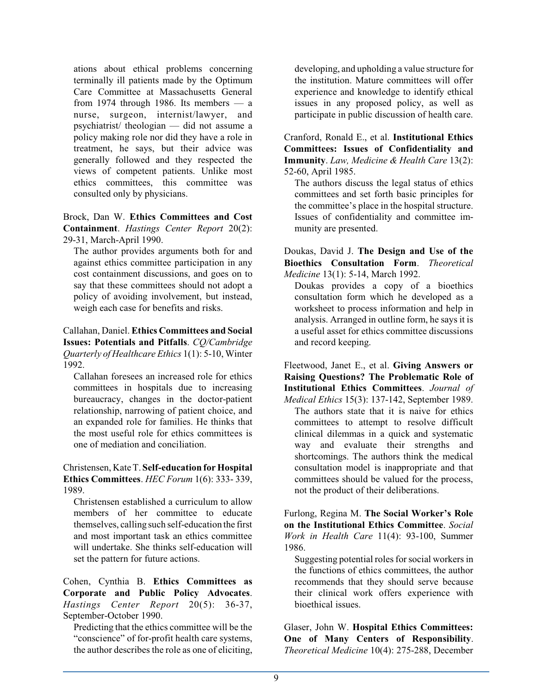ations about ethical problems concerning terminally ill patients made by the Optimum Care Committee at Massachusetts General from 1974 through 1986. Its members  $-$  a nurse, surgeon, internist/lawyer, and psychiatrist/ theologian — did not assume a policy making role nor did they have a role in treatment, he says, but their advice was generally followed and they respected the views of competent patients. Unlike most ethics committees, this committee was consulted only by physicians.

Brock, Dan W. **Ethics Committees and Cost Containment**. *Hastings Center Report* 20(2): 29-31, March-April 1990.

The author provides arguments both for and against ethics committee participation in any cost containment discussions, and goes on to say that these committees should not adopt a policy of avoiding involvement, but instead, weigh each case for benefits and risks.

Callahan, Daniel. **Ethics Committees and Social Issues: Potentials and Pitfalls**. *CQ/Cambridge Quarterly of Healthcare Ethics* 1(1): 5-10, Winter 1992.

Callahan foresees an increased role for ethics committees in hospitals due to increasing bureaucracy, changes in the doctor-patient relationship, narrowing of patient choice, and an expanded role for families. He thinks that the most useful role for ethics committees is one of mediation and conciliation.

Christensen, Kate T. **Self-education for Hospital Ethics Committees**. *HEC Forum* 1(6): 333- 339, 1989.

Christensen established a curriculum to allow members of her committee to educate themselves, calling such self-education the first and most important task an ethics committee will undertake. She thinks self-education will set the pattern for future actions.

Cohen, Cynthia B. **Ethics Committees as Corporate and Public Policy Advocates**. *Hastings Center Report* 20(5): 36-37, September-October 1990.

Predicting that the ethics committee will be the "conscience" of for-profit health care systems, the author describes the role as one of eliciting,

developing, and upholding a value structure for the institution. Mature committees will offer experience and knowledge to identify ethical issues in any proposed policy, as well as participate in public discussion of health care.

Cranford, Ronald E., et al. **Institutional Ethics Committees: Issues of Confidentiality and Immunity**. *Law, Medicine & Health Care* 13(2): 52-60, April 1985.

The authors discuss the legal status of ethics committees and set forth basic principles for the committee's place in the hospital structure. Issues of confidentiality and committee immunity are presented.

Doukas, David J. **The Design and Use of the Bioethics Consultation Form**. *Theoretical Medicine* 13(1): 5-14, March 1992.

Doukas provides a copy of a bioethics consultation form which he developed as a worksheet to process information and help in analysis. Arranged in outline form, he says it is a useful asset for ethics committee discussions and record keeping.

Fleetwood, Janet E., et al. **Giving Answers or Raising Questions? The Problematic Role of Institutional Ethics Committees**. *Journal of Medical Ethics* 15(3): 137-142, September 1989. The authors state that it is naive for ethics committees to attempt to resolve difficult clinical dilemmas in a quick and systematic way and evaluate their strengths and shortcomings. The authors think the medical consultation model is inappropriate and that committees should be valued for the process, not the product of their deliberations.

Furlong, Regina M. **The Social Worker's Role on the Institutional Ethics Committee**. *Social Work in Health Care* 11(4): 93-100, Summer 1986.

Suggesting potential roles for social workers in the functions of ethics committees, the author recommends that they should serve because their clinical work offers experience with bioethical issues.

Glaser, John W. **Hospital Ethics Committees: One of Many Centers of Responsibility**. *Theoretical Medicine* 10(4): 275-288, December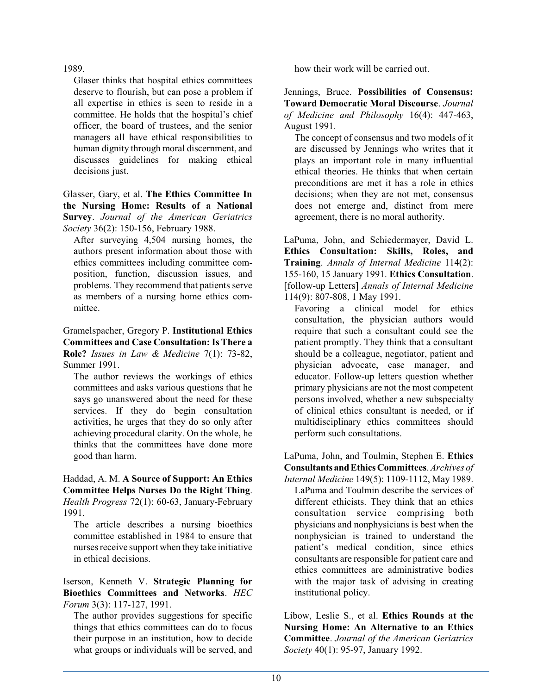1989.

Glaser thinks that hospital ethics committees deserve to flourish, but can pose a problem if all expertise in ethics is seen to reside in a committee. He holds that the hospital's chief officer, the board of trustees, and the senior managers all have ethical responsibilities to human dignity through moral discernment, and discusses guidelines for making ethical decisions just.

Glasser, Gary, et al. **The Ethics Committee In the Nursing Home: Results of a National Survey**. *Journal of the American Geriatrics Society* 36(2): 150-156, February 1988.

After surveying 4,504 nursing homes, the authors present information about those with ethics committees including committee composition, function, discussion issues, and problems. They recommend that patients serve as members of a nursing home ethics committee.

Gramelspacher, Gregory P. **Institutional Ethics Committees and Case Consultation: Is There a Role?** *Issues in Law & Medicine* 7(1): 73-82, Summer 1991.

The author reviews the workings of ethics committees and asks various questions that he says go unanswered about the need for these services. If they do begin consultation activities, he urges that they do so only after achieving procedural clarity. On the whole, he thinks that the committees have done more good than harm.

Haddad, A. M. **A Source of Support: An Ethics Committee Helps Nurses Do the Right Thing**. *Health Progress* 72(1): 60-63, January-February 1991.

The article describes a nursing bioethics committee established in 1984 to ensure that nurses receive support when they take initiative in ethical decisions.

Iserson, Kenneth V. **Strategic Planning for Bioethics Committees and Networks**. *HEC Forum* 3(3): 117-127, 1991.

The author provides suggestions for specific things that ethics committees can do to focus their purpose in an institution, how to decide what groups or individuals will be served, and how their work will be carried out.

Jennings, Bruce. **Possibilities of Consensus: Toward Democratic Moral Discourse**. *Journal of Medicine and Philosophy* 16(4): 447-463, August 1991.

The concept of consensus and two models of it are discussed by Jennings who writes that it plays an important role in many influential ethical theories. He thinks that when certain preconditions are met it has a role in ethics decisions; when they are not met, consensus does not emerge and, distinct from mere agreement, there is no moral authority.

LaPuma, John, and Schiedermayer, David L. **Ethics Consultation: Skills, Roles, and Training**. *Annals of Internal Medicine* 114(2): 155-160, 15 January 1991. **Ethics Consultation**. [follow-up Letters] *Annals of Internal Medicine* 114(9): 807-808, 1 May 1991.

Favoring a clinical model for ethics consultation, the physician authors would require that such a consultant could see the patient promptly. They think that a consultant should be a colleague, negotiator, patient and physician advocate, case manager, and educator. Follow-up letters question whether primary physicians are not the most competent persons involved, whether a new subspecialty of clinical ethics consultant is needed, or if multidisciplinary ethics committees should perform such consultations.

LaPuma, John, and Toulmin, Stephen E. **Ethics Consultants andEthicsCommittees**. *Archives of*

*Internal Medicine* 149(5): 1109-1112, May 1989. LaPuma and Toulmin describe the services of different ethicists. They think that an ethics consultation service comprising both physicians and nonphysicians is best when the nonphysician is trained to understand the patient's medical condition, since ethics consultants are responsible for patient care and ethics committees are administrative bodies with the major task of advising in creating institutional policy.

Libow, Leslie S., et al. **Ethics Rounds at the Nursing Home: An Alternative to an Ethics Committee**. *Journal of the American Geriatrics Society* 40(1): 95-97, January 1992.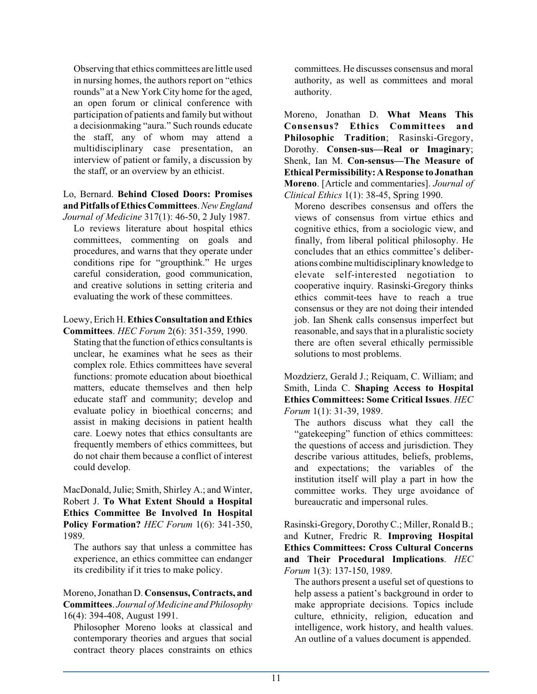Observing that ethics committees are little used in nursing homes, the authors report on "ethics rounds" at a New York City home for the aged, an open forum or clinical conference with participation of patients and family but without a decisionmaking "aura." Such rounds educate the staff, any of whom may attend a multidisciplinary case presentation, an interview of patient or family, a discussion by the staff, or an overview by an ethicist.

Lo, Bernard. **Behind Closed Doors: Promises and Pitfalls ofEthics Committees**. *New England*

*Journal of Medicine* 317(1): 46-50, 2 July 1987. Lo reviews literature about hospital ethics committees, commenting on goals and procedures, and warns that they operate under conditions ripe for "groupthink." He urges careful consideration, good communication, and creative solutions in setting criteria and evaluating the work of these committees.

#### Loewy, Erich H. **Ethics Consultation and Ethics**

**Committees**. *HEC Forum* 2(6): 351-359, 1990. Stating that the function of ethics consultants is unclear, he examines what he sees as their complex role. Ethics committees have several functions: promote education about bioethical matters, educate themselves and then help educate staff and community; develop and evaluate policy in bioethical concerns; and assist in making decisions in patient health care. Loewy notes that ethics consultants are frequently members of ethics committees, but do not chair them because a conflict of interest could develop.

MacDonald, Julie; Smith, Shirley A.; and Winter, Robert J. **To What Extent Should a Hospital Ethics Committee Be Involved In Hospital Policy Formation?** *HEC Forum* 1(6): 341-350, 1989.

The authors say that unless a committee has experience, an ethics committee can endanger its credibility if it tries to make policy.

#### Moreno, Jonathan D. **Consensus, Contracts, and Committees**. *Journal of Medicine andPhilosophy* 16(4): 394-408, August 1991.

Philosopher Moreno looks at classical and contemporary theories and argues that social contract theory places constraints on ethics

committees. He discusses consensus and moral authority, as well as committees and moral authority.

Moreno, Jonathan D. **What Means This Consensus? Ethics Committees and Philosophic Tradition**; Rasinski-Gregory, Dorothy. **Consen-sus—Real or Imaginary**; Shenk, Ian M. **Con-sensus—The Measure of Ethical Permissibility: A Response to Jonathan Moreno**. [Article and commentaries]. *Journal of Clinical Ethics* 1(1): 38-45, Spring 1990.

Moreno describes consensus and offers the views of consensus from virtue ethics and cognitive ethics, from a sociologic view, and finally, from liberal political philosophy. He concludes that an ethics committee's deliberations combine multidisciplinary knowledge to elevate self-interested negotiation to cooperative inquiry. Rasinski-Gregory thinks ethics commit-tees have to reach a true consensus or they are not doing their intended job. Ian Shenk calls consensus imperfect but reasonable, and says that in a pluralistic society there are often several ethically permissible solutions to most problems.

Mozdzierz, Gerald J.; Reiquam, C. William; and Smith, Linda C. **Shaping Access to Hospital Ethics Committees: Some Critical Issues**. *HEC Forum* 1(1): 31-39, 1989.

The authors discuss what they call the "gatekeeping" function of ethics committees: the questions of access and jurisdiction. They describe various attitudes, beliefs, problems, and expectations; the variables of the institution itself will play a part in how the committee works. They urge avoidance of bureaucratic and impersonal rules.

Rasinski-Gregory, Dorothy C.; Miller, Ronald B.; and Kutner, Fredric R. **Improving Hospital Ethics Committees: Cross Cultural Concerns and Their Procedural Implications**. *HEC Forum* 1(3): 137-150, 1989.

The authors present a useful set of questions to help assess a patient's background in order to make appropriate decisions. Topics include culture, ethnicity, religion, education and intelligence, work history, and health values. An outline of a values document is appended.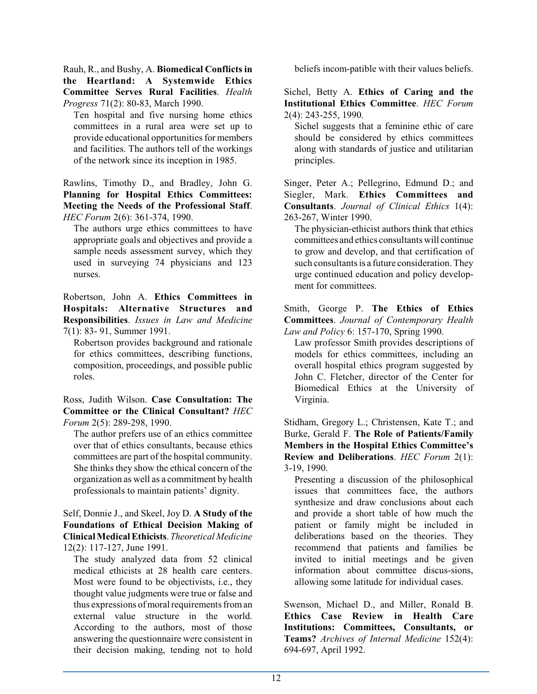Rauh, R., and Bushy, A. **Biomedical Conflicts in the Heartland: A Systemwide Ethics Committee Serves Rural Facilities**. *Health Progress* 71(2): 80-83, March 1990.

Ten hospital and five nursing home ethics committees in a rural area were set up to provide educational opportunities for members and facilities. The authors tell of the workings of the network since its inception in 1985.

Rawlins, Timothy D., and Bradley, John G. **Planning for Hospital Ethics Committees: Meeting the Needs of the Professional Staff**. *HEC Forum* 2(6): 361-374, 1990.

The authors urge ethics committees to have appropriate goals and objectives and provide a sample needs assessment survey, which they used in surveying 74 physicians and 123 nurses.

Robertson, John A. **Ethics Committees in Hospitals: Alternative Structures and Responsibilities**. *Issues in Law and Medicine* 7(1): 83- 91, Summer 1991.

Robertson provides background and rationale for ethics committees, describing functions, composition, proceedings, and possible public roles.

Ross, Judith Wilson. **Case Consultation: The Committee or the Clinical Consultant?** *HEC Forum* 2(5): 289-298, 1990.

The author prefers use of an ethics committee over that of ethics consultants, because ethics committees are part of the hospital community. She thinks they show the ethical concern of the organization as well as a commitment by health professionals to maintain patients' dignity.

Self, Donnie J., and Skeel, Joy D. **A Study of the Foundations of Ethical Decision Making of ClinicalMedicalEthicists**.*Theoretical Medicine* 12(2): 117-127, June 1991.

The study analyzed data from 52 clinical medical ethicists at 28 health care centers. Most were found to be objectivists, i.e., they thought value judgments were true or false and thus expressions of moral requirements from an external value structure in the world. According to the authors, most of those answering the questionnaire were consistent in their decision making, tending not to hold

beliefs incom-patible with their values beliefs.

Sichel, Betty A. **Ethics of Caring and the Institutional Ethics Committee**. *HEC Forum* 2(4): 243-255, 1990.

Sichel suggests that a feminine ethic of care should be considered by ethics committees along with standards of justice and utilitarian principles.

Singer, Peter A.; Pellegrino, Edmund D.; and Siegler, Mark. **Ethics Committees and Consultants**. *Journal of Clinical Ethics* 1(4): 263-267, Winter 1990.

The physician-ethicist authors think that ethics committees and ethics consultants will continue to grow and develop, and that certification of such consultants is a future consideration. They urge continued education and policy development for committees.

Smith, George P. **The Ethics of Ethics Committees**. *Journal of Contemporary Health Law and Policy* 6: 157-170, Spring 1990.

Law professor Smith provides descriptions of models for ethics committees, including an overall hospital ethics program suggested by John C. Fletcher, director of the Center for Biomedical Ethics at the University of Virginia.

Stidham, Gregory L.; Christensen, Kate T.; and Burke, Gerald F. **The Role of Patients/Family Members in the Hospital Ethics Committee's Review and Deliberations**. *HEC Forum* 2(1): 3-19, 1990.

Presenting a discussion of the philosophical issues that committees face, the authors synthesize and draw conclusions about each and provide a short table of how much the patient or family might be included in deliberations based on the theories. They recommend that patients and families be invited to initial meetings and be given information about committee discus-sions, allowing some latitude for individual cases.

Swenson, Michael D., and Miller, Ronald B. **Ethics Case Review in Health Care Institutions: Committees, Consultants, or Teams?** *Archives of Internal Medicine* 152(4): 694-697, April 1992.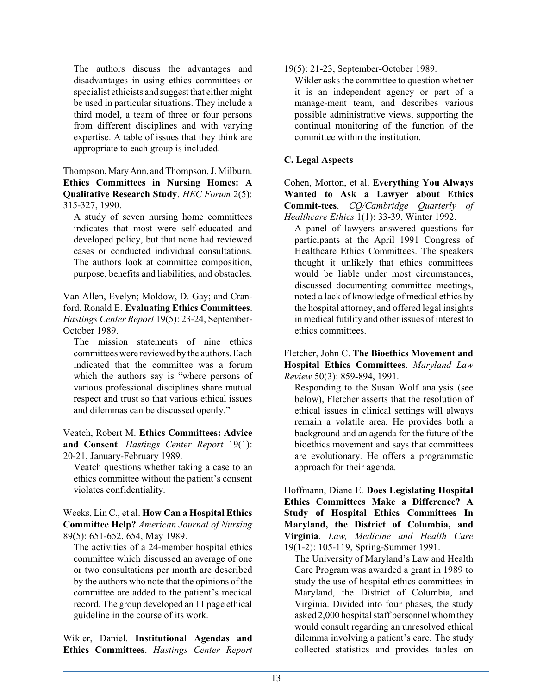The authors discuss the advantages and disadvantages in using ethics committees or specialist ethicists and suggest that either might be used in particular situations. They include a third model, a team of three or four persons from different disciplines and with varying expertise. A table of issues that they think are appropriate to each group is included.

Thompson, Mary Ann, and Thompson, J. Milburn. **Ethics Committees in Nursing Homes: A Qualitative Research Study**. *HEC Forum* 2(5): 315-327, 1990.

A study of seven nursing home committees indicates that most were self-educated and developed policy, but that none had reviewed cases or conducted individual consultations. The authors look at committee composition, purpose, benefits and liabilities, and obstacles.

Van Allen, Evelyn; Moldow, D. Gay; and Cranford, Ronald E. **Evaluating Ethics Committees**. *Hastings Center Report* 19(5): 23-24, September-October 1989.

The mission statements of nine ethics committees were reviewed by the authors. Each indicated that the committee was a forum which the authors say is "where persons of various professional disciplines share mutual respect and trust so that various ethical issues and dilemmas can be discussed openly."

Veatch, Robert M. **Ethics Committees: Advice and Consent**. *Hastings Center Report* 19(1): 20-21, January-February 1989.

Veatch questions whether taking a case to an ethics committee without the patient's consent violates confidentiality.

Weeks, Lin C., et al. **How Can a Hospital Ethics Committee Help?** *American Journal of Nursing* 89(5): 651-652, 654, May 1989.

The activities of a 24-member hospital ethics committee which discussed an average of one or two consultations per month are described by the authors who note that the opinions of the committee are added to the patient's medical record. The group developed an 11 page ethical guideline in the course of its work.

Wikler, Daniel. **Institutional Agendas and Ethics Committees**. *Hastings Center Report* 19(5): 21-23, September-October 1989.

Wikler asks the committee to question whether it is an independent agency or part of a manage-ment team, and describes various possible administrative views, supporting the continual monitoring of the function of the committee within the institution.

#### **C. Legal Aspects**

Cohen, Morton, et al. **Everything You Always Wanted to Ask a Lawyer about Ethics Commit-tees**. *CQ/Cambridge Quarterly of Healthcare Ethics* 1(1): 33-39, Winter 1992.

A panel of lawyers answered questions for participants at the April 1991 Congress of Healthcare Ethics Committees. The speakers thought it unlikely that ethics committees would be liable under most circumstances, discussed documenting committee meetings, noted a lack of knowledge of medical ethics by the hospital attorney, and offered legal insights in medical futility and other issues of interest to ethics committees.

Fletcher, John C. **The Bioethics Movement and Hospital Ethics Committees**. *Maryland Law Review* 50(3): 859-894, 1991.

Responding to the Susan Wolf analysis (see below), Fletcher asserts that the resolution of ethical issues in clinical settings will always remain a volatile area. He provides both a background and an agenda for the future of the bioethics movement and says that committees are evolutionary. He offers a programmatic approach for their agenda.

Hoffmann, Diane E. **Does Legislating Hospital Ethics Committees Make a Difference? A Study of Hospital Ethics Committees In Maryland, the District of Columbia, and Virginia**. *Law, Medicine and Health Care* 19(1-2): 105-119, Spring-Summer 1991.

The University of Maryland's Law and Health Care Program was awarded a grant in 1989 to study the use of hospital ethics committees in Maryland, the District of Columbia, and Virginia. Divided into four phases, the study asked 2,000 hospital staff personnel whom they would consult regarding an unresolved ethical dilemma involving a patient's care. The study collected statistics and provides tables on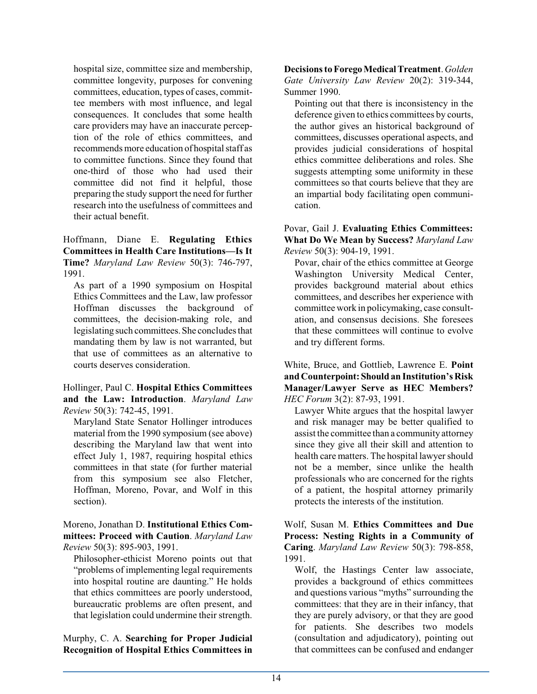hospital size, committee size and membership, committee longevity, purposes for convening committees, education, types of cases, committee members with most influence, and legal consequences. It concludes that some health care providers may have an inaccurate perception of the role of ethics committees, and recommends more education of hospital staff as to committee functions. Since they found that one-third of those who had used their committee did not find it helpful, those preparing the study support the need for further research into the usefulness of committees and their actual benefit.

Hoffmann, Diane E. **Regulating Ethics Committees in Health Care Institutions—Is It Time?** *Maryland Law Review* 50(3): 746-797, 1991.

As part of a 1990 symposium on Hospital Ethics Committees and the Law, law professor Hoffman discusses the background of committees, the decision-making role, and legislating such committees.She concludes that mandating them by law is not warranted, but that use of committees as an alternative to courts deserves consideration.

Hollinger, Paul C. **Hospital Ethics Committees and the Law: Introduction**. *Maryland Law Review* 50(3): 742-45, 1991.

Maryland State Senator Hollinger introduces material from the 1990 symposium (see above) describing the Maryland law that went into effect July 1, 1987, requiring hospital ethics committees in that state (for further material from this symposium see also Fletcher, Hoffman, Moreno, Povar, and Wolf in this section).

Moreno, Jonathan D. **Institutional Ethics Committees: Proceed with Caution**. *Maryland Law Review* 50(3): 895-903, 1991.

Philosopher-ethicist Moreno points out that "problems of implementing legal requirements into hospital routine are daunting." He holds that ethics committees are poorly understood, bureaucratic problems are often present, and that legislation could undermine their strength.

Murphy, C. A. **Searching for Proper Judicial Recognition of Hospital Ethics Committees in** **Decisions to ForegoMedicalTreatment**. *Golden Gate University Law Review* 20(2): 319-344, Summer 1990.

Pointing out that there is inconsistency in the deference given to ethics committees by courts, the author gives an historical background of committees, discusses operational aspects, and provides judicial considerations of hospital ethics committee deliberations and roles. She suggests attempting some uniformity in these committees so that courts believe that they are an impartial body facilitating open communication.

Povar, Gail J. **Evaluating Ethics Committees: What Do We Mean by Success?** *Maryland Law Review* 50(3): 904-19, 1991.

Povar, chair of the ethics committee at George Washington University Medical Center, provides background material about ethics committees, and describes her experience with committee work in policymaking, case consultation, and consensus decisions. She foresees that these committees will continue to evolve and try different forms.

White, Bruce, and Gottlieb, Lawrence E. **Point and Counterpoint:Should an Institution's Risk Manager/Lawyer Serve as HEC Members?** *HEC Forum* 3(2): 87-93, 1991.

Lawyer White argues that the hospital lawyer and risk manager may be better qualified to assist the committee than a community attorney since they give all their skill and attention to health care matters. The hospital lawyer should not be a member, since unlike the health professionals who are concerned for the rights of a patient, the hospital attorney primarily protects the interests of the institution.

Wolf, Susan M. **Ethics Committees and Due Process: Nesting Rights in a Community of Caring**. *Maryland Law Review* 50(3): 798-858, 1991.

Wolf, the Hastings Center law associate, provides a background of ethics committees and questions various "myths" surrounding the committees: that they are in their infancy, that they are purely advisory, or that they are good for patients. She describes two models (consultation and adjudicatory), pointing out that committees can be confused and endanger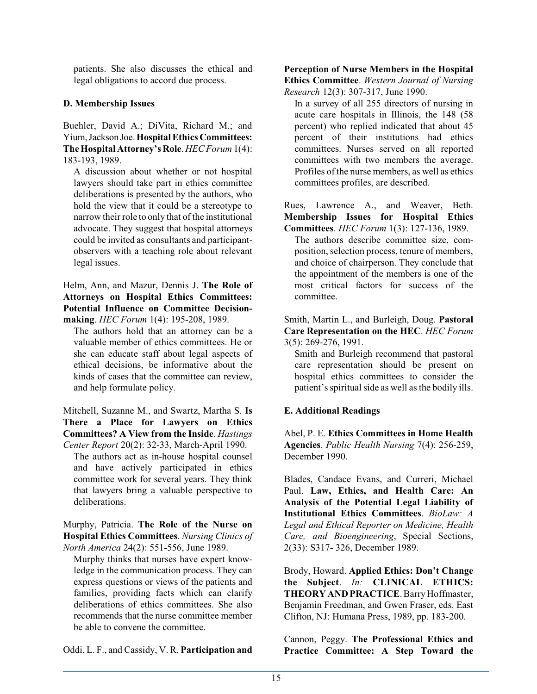patients. She also discusses the ethical and legal obligations to accord due process.

#### **D. Membership Issues**

Buehler, David A.; DiVita, Richard M.; and Yium,Jackson Joe.**HospitalEthics Committees: The Hospital Attorney's Role**. *HEC Forum* 1(4): 183-193, 1989.

A discussion about whether or not hospital lawyers should take part in ethics committee deliberations is presented by the authors, who hold the view that it could be a stereotype to narrow their role to only that of the institutional advocate. They suggest that hospital attorneys could be invited as consultants and participantobservers with a teaching role about relevant legal issues.

Helm, Ann, and Mazur, Dennis J. **The Role of Attorneys on Hospital Ethics Committees: Potential Influence on Committee Decisionmaking**. *HEC Forum* 1(4): 195-208, 1989.

The authors hold that an attorney can be a valuable member of ethics committees. He or she can educate staff about legal aspects of ethical decisions, be informative about the kinds of cases that the committee can review, and help formulate policy.

Mitchell, Suzanne M., and Swartz, Martha S. **Is There a Place for Lawyers on Ethics Committees? A View from the Inside**. *Hastings Center Report* 20(2): 32-33, March-April 1990.

The authors act as in-house hospital counsel and have actively participated in ethics committee work for several years. They think that lawyers bring a valuable perspective to deliberations.

Murphy, Patricia. **The Role of the Nurse on Hospital Ethics Committees**. *Nursing Clinics of North America* 24(2): 551-556, June 1989.

Murphy thinks that nurses have expert knowledge in the communication process. They can express questions or views of the patients and families, providing facts which can clarify deliberations of ethics committees. She also recommends that the nurse committee member be able to convene the committee.

Oddi, L. F., and Cassidy, V. R. **Participation and**

### **Perception of Nurse Members in the Hospital**

**Ethics Committee**. *Western Journal of Nursing Research* 12(3): 307-317, June 1990.

In a survey of all 255 directors of nursing in acute care hospitals in Illinois, the 148 (58 percent) who replied indicated that about 45 percent of their institutions had ethics committees. Nurses served on all reported committees with two members the average. Profiles of the nurse members, as well as ethics committees profiles, are described.

Rues, Lawrence A., and Weaver, Beth. **Membership Issues for Hospital Ethics Committees**. *HEC Forum* 1(3): 127-136, 1989.

The authors describe committee size, composition, selection process, tenure of members, and choice of chairperson. They conclude that the appointment of the members is one of the most critical factors for success of the committee.

Smith, Martin L., and Burleigh, Doug. **Pastoral Care Representation on the HEC**. *HEC Forum* 3(5): 269-276, 1991.

Smith and Burleigh recommend that pastoral care representation should be present on hospital ethics committees to consider the patient's spiritual side as well as the bodily ills.

#### **E. Additional Readings**

Abel, P. E. **Ethics Committees in Home Health Agencies**. *Public Health Nursing* 7(4): 256-259, December 1990.

Blades, Candace Evans, and Curreri, Michael Paul. **Law, Ethics, and Health Care: An Analysis of the Potential Legal Liability of Institutional Ethics Committees**. *BioLaw: A Legal and Ethical Reporter on Medicine, Health Care, and Bioengineering*, Special Sections, 2(33): S317- 326, December 1989.

Brody, Howard. **Applied Ethics: Don't Change the Subject**. *In:* **CLINICAL ETHICS: THEORY AND PRACTICE.** Barry Hoffmaster, Benjamin Freedman, and Gwen Fraser, eds. East Clifton, NJ: Humana Press, 1989, pp. 183-200.

Cannon, Peggy. **The Professional Ethics and Practice Committee: A Step Toward the**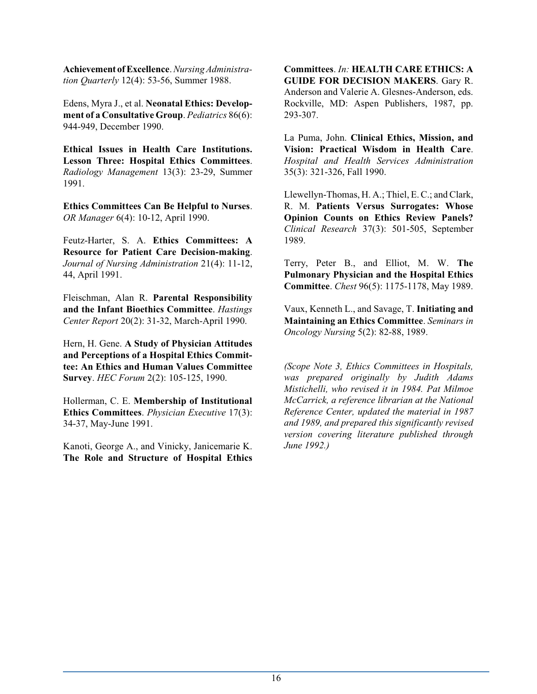**Achievement of Excellence**. *Nursing Administration Quarterly* 12(4): 53-56, Summer 1988.

Edens, Myra J., et al. **Neonatal Ethics: Development of a Consultative Group**. *Pediatrics* 86(6): 944-949, December 1990.

**Ethical Issues in Health Care Institutions. Lesson Three: Hospital Ethics Committees**. *Radiology Management* 13(3): 23-29, Summer 1991.

**Ethics Committees Can Be Helpful to Nurses**. *OR Manager* 6(4): 10-12, April 1990.

Feutz-Harter, S. A. **Ethics Committees: A Resource for Patient Care Decision-making**. *Journal of Nursing Administration* 21(4): 11-12, 44, April 1991.

Fleischman, Alan R. **Parental Responsibility and the Infant Bioethics Committee**. *Hastings Center Report* 20(2): 31-32, March-April 1990.

Hern, H. Gene. **A Study of Physician Attitudes and Perceptions of a Hospital Ethics Committee: An Ethics and Human Values Committee Survey**. *HEC Forum* 2(2): 105-125, 1990.

Hollerman, C. E. **Membership of Institutional Ethics Committees**. *Physician Executive* 17(3): 34-37, May-June 1991.

Kanoti, George A., and Vinicky, Janicemarie K. **The Role and Structure of Hospital Ethics** **Committees**. *In:* **HEALTH CARE ETHICS: A GUIDE FOR DECISION MAKERS**. Gary R. Anderson and Valerie A. Glesnes-Anderson, eds. Rockville, MD: Aspen Publishers, 1987, pp. 293-307.

La Puma, John. **Clinical Ethics, Mission, and Vision: Practical Wisdom in Health Care**. *Hospital and Health Services Administration* 35(3): 321-326, Fall 1990.

Llewellyn-Thomas, H. A.; Thiel, E. C.; and Clark, R. M. **Patients Versus Surrogates: Whose Opinion Counts on Ethics Review Panels?** *Clinical Research* 37(3): 501-505, September 1989.

Terry, Peter B., and Elliot, M. W. **The Pulmonary Physician and the Hospital Ethics Committee**. *Chest* 96(5): 1175-1178, May 1989.

Vaux, Kenneth L., and Savage, T. **Initiating and Maintaining an Ethics Committee**. *Seminars in Oncology Nursing* 5(2): 82-88, 1989.

*(Scope Note 3, Ethics Committees in Hospitals, was prepared originally by Judith Adams Mistichelli, who revised it in 1984. Pat Milmoe McCarrick, a reference librarian at the National Reference Center, updated the material in 1987 and 1989, and prepared this significantly revised version covering literature published through June 1992.)*